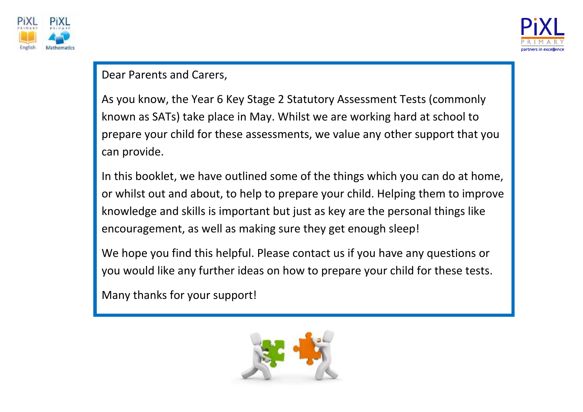



#### Dear Parents and Carers,

As you know, the Year 6 Key Stage 2 Statutory Assessment Tests (commonly known as SATs) take place in May. Whilst we are working hard at school to prepare your child for these assessments, we value any other support that you can provide.

In this booklet, we have outlined some of the things which you can do at home, or whilst out and about, to help to prepare your child. Helping them to improve knowledge and skills is important but just as key are the personal things like encouragement, as well as making sure they get enough sleep!

We hope you find this helpful. Please contact us if you have any questions or you would like any further ideas on how to prepare your child for these tests.

Many thanks for your support!

The Year 6 Team

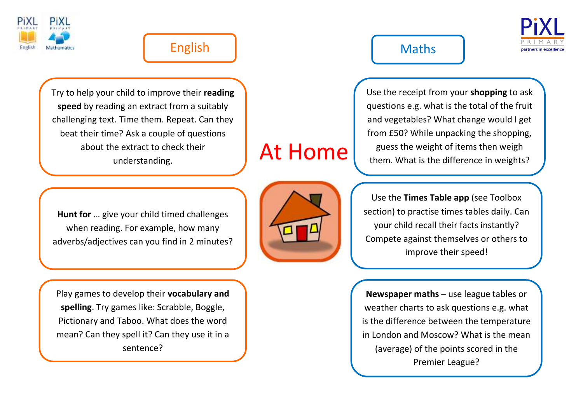

### English | Maths

**speed** by reading an extract from a suitably<br>hallenging text. Time them. Repeat. Can the Try to help your child to improve their **reading**  challenging text. Time them. Repeat. Can they beat their time? Ask a couple of questions about the extract to check their understanding.



Use the receipt from your **shopping** to ask questions e.g. what is the total of the fruit and vegetables? What change would I get from £50? While unpacking the shopping, guess the weight of items then weigh them. What is the difference in weights?

**Hunt for** … give your child timed challenges when reading. For example, how many adverbs/adjectives can you find in 2 minutes?

Play games to develop their **vocabulary and spelling**. Try games like: Scrabble, Boggle, Pictionary and Taboo. What does the word mean? Can they spell it? Can they use it in a sentence?



At Home

Use the **Times Table app** (see Toolbox section) to practise times tables daily. Can your child recall their facts instantly? Compete against themselves or others to improve their speed!

**Newspaper maths** – use league tables or weather charts to ask questions e.g. what is the difference between the temperature in London and Moscow? What is the mean (average) of the points scored in the Premier League?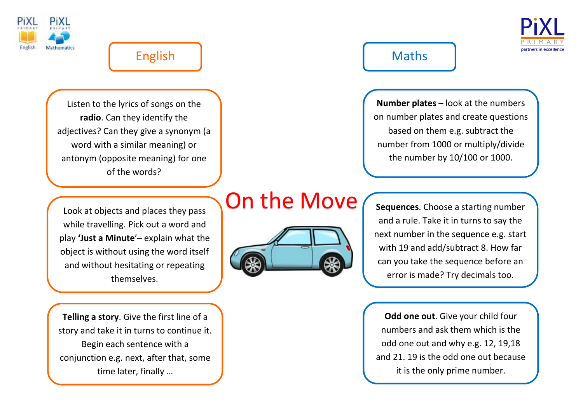



Listen to the lyrics of songs on the **radio**. Can they identify the adjectives? Can they give a synonym (a word with a similar meaning) or antonym (opposite meaning) for one of the words?

**Number plates** – look at the numbers on number plates and create questions based on them e.g. subtract the number from 1000 or multiply/divide the number by 10/100 or 1000.

Look at objects and places they pass while travelling. Pick out a word and play **'Just a Minute**'– explain what the object is without using the word itself and without hesitating or repeating themselves.

**Telling a story**. Give the first line of a story and take it in turns to continue it. Begin each sentence with a conjunction e.g. next, after that, some time later, finally …

# On the Move



**Sequences**. Choose a starting number and a rule. Take it in turns to say the next number in the sequence e.g. start with 19 and add/subtract 8. How far can you take the sequence before an error is made? Try decimals too.

**Odd one out**. Give your child four numbers and ask them which is the odd one out and why e.g. 12, 19,18 and 21. 19 is the odd one out because it is the only prime number.

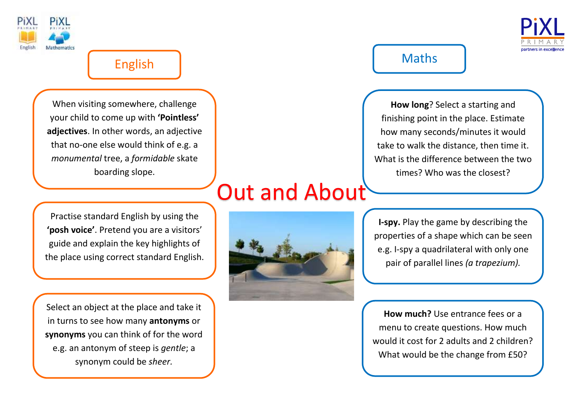

Ī



# English and the contract of the Maths

When visiting somewhere, challenge your child to come up with **'Pointless' adjectives**. In other words, an adjective that no-one else would think of e.g. a *monumental* tree, a *formidable* skate boarding slope.

**How long**? Select a starting and finishing point in the place. Estimate how many seconds/minutes it would take to walk the distance, then time it. What is the difference between the two times? Who was the closest?

Practise standard English by using the **'posh voice'**. Pretend you are a visitors' guide and explain the key highlights of the place using correct standard English.

Select an object at the place and take it in turns to see how many **antonyms** or **synonyms** you can think of for the word e.g. an antonym of steep is *gentle*; a synonym could be *sheer.*

# Out and About



**I-spy.** Play the game by describing the properties of a shape which can be seen e.g. I-spy a quadrilateral with only one pair of parallel lines *(a trapezium).*

**How much?** Use entrance fees or a menu to create questions. How much would it cost for 2 adults and 2 children? What would be the change from £50?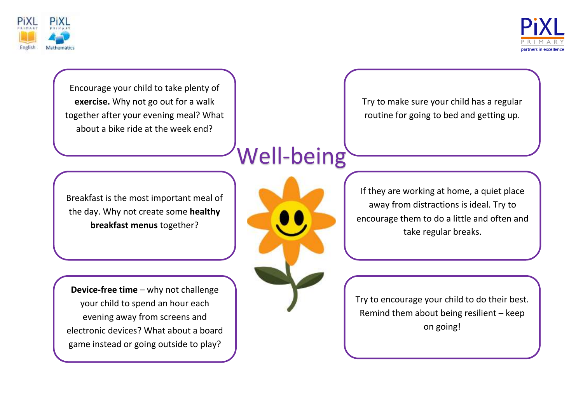



Encourage your child to take plenty of **exercise.** Why not go out for a walk together after your evening meal? What about a bike ride at the week end?

Try to make sure your child has a regular routine for going to bed and getting up.

# Well-being

Breakfast is the most important meal of the day. Why not create some **healthy breakfast menus** together?

**Device-free time** – why not challenge your child to spend an hour each evening away from screens and electronic devices? What about a board game instead or going outside to play?



If they are working at home, a quiet place away from distractions is ideal. Try to encourage them to do a little and often and take regular breaks.

Try to encourage your child to do their best. Remind them about being resilient – keep on going!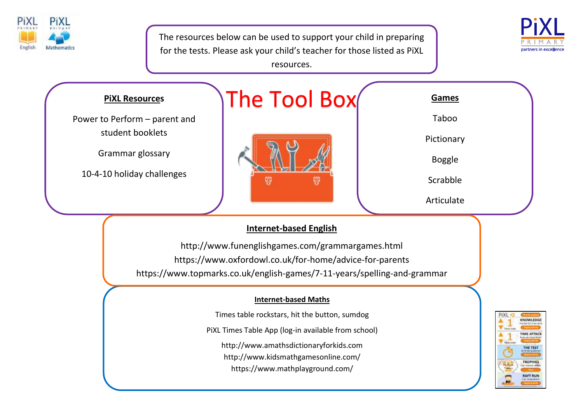



The resources below can be used to support your child in preparing for the tests. Please ask your child's teacher for those listed as PiXL resources.



<https://www.oxfordowl.co.uk/for-home/advice-for-parents> https://www.topmarks.co.uk/english-games/7-11-years/spelling-and-grammar

#### **Internet-based Maths**

Times table rockstars, hit the button, sumdog

PiXL Times Table App (log-in available from school)

[http://www.amathsdictionaryforkids.com](http://www.amathsdictionaryforkids.com/)

<http://www.kidsmathgamesonline.com/>

https://www.mathplayground.com/

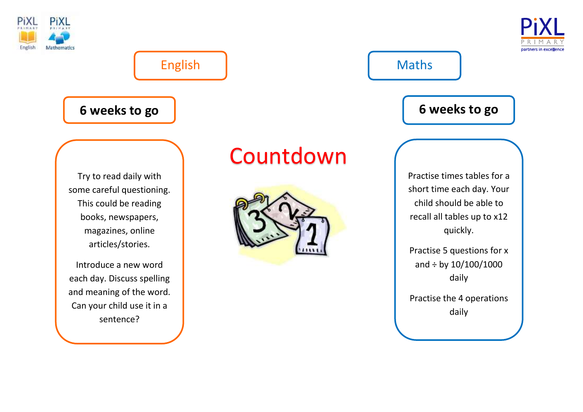



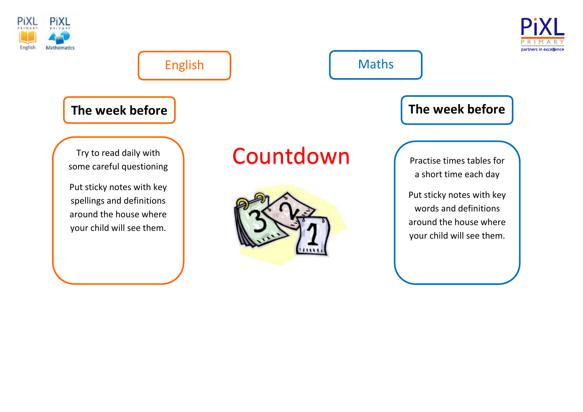



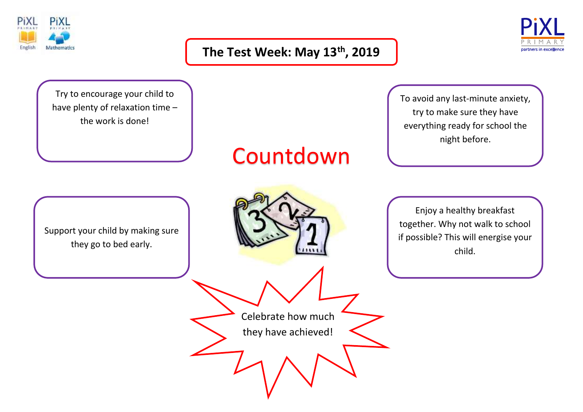

#### **The Test Week: May 13 th, 2019**



Try to encourage your child to have plenty of relaxation time – the work is done!

# Countdown

Support your child by making sure they go to bed early.



Celebrate how much

they have achieved!

To avoid any last-minute anxiety, try to make sure they have everything ready for school the night before.

Enjoy a healthy breakfast together. Why not walk to school if possible? This will energise your child.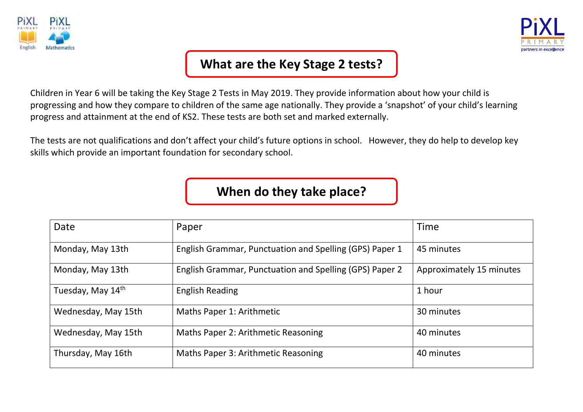



### **What are the Key Stage 2 tests?**

Children in Year 6 will be taking the Key Stage 2 Tests in May 2019. They provide information about how your child is progressing and how they compare to children of the same age nationally. They provide a 'snapshot' of your child's learning progress and attainment at the end of KS2. These tests are both set and marked externally.

The tests are not qualifications and don't affect your child's future options in school. However, they do help to develop key skills which provide an important foundation for secondary school.

**When do they take place?**

| Date                | Paper                                                   | <b>Time</b>              |
|---------------------|---------------------------------------------------------|--------------------------|
| Monday, May 13th    | English Grammar, Punctuation and Spelling (GPS) Paper 1 | 45 minutes               |
| Monday, May 13th    | English Grammar, Punctuation and Spelling (GPS) Paper 2 | Approximately 15 minutes |
| Tuesday, May 14th   | <b>English Reading</b>                                  | 1 hour                   |
| Wednesday, May 15th | Maths Paper 1: Arithmetic                               | 30 minutes               |
| Wednesday, May 15th | Maths Paper 2: Arithmetic Reasoning                     | 40 minutes               |
| Thursday, May 16th  | Maths Paper 3: Arithmetic Reasoning                     | 40 minutes               |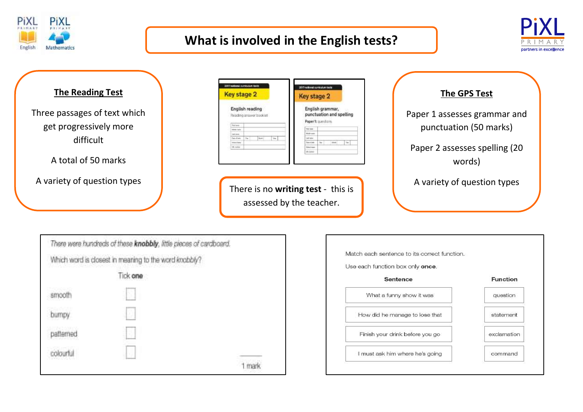

#### **What is involved in the English tests?**



#### **The Reading Test**

Three passages of text which get progressively more difficult

A total of 50 marks

A variety of question types

|                     | 2017 hatticeal climicatum texts           |            | 2017 nellonal controlum tasta                                     |  |
|---------------------|-------------------------------------------|------------|-------------------------------------------------------------------|--|
| <b>Key stage 2</b>  |                                           |            | Key stage 2                                                       |  |
|                     | English reading<br>Reading answer booklet |            | English grammar,<br>punctuation and spelling<br>Paper 1: questors |  |
| Not been.           |                                           |            | Tél 1946                                                          |  |
|                     |                                           |            | <b>Blutch comment</b>                                             |  |
| Model forest        |                                           |            |                                                                   |  |
| Leas news           |                                           |            |                                                                   |  |
| <b>Detect Roads</b> | <b>Mark</b><br>$\sim$                     | <b>War</b> | 148 halos<br>Sent of their<br>to:                                 |  |
| 19. nation          |                                           |            | <b>Side of Contract</b>                                           |  |

There is no **writing test** - this is assessed by the teacher.

| <b>The GPS Test</b>                                    |  |
|--------------------------------------------------------|--|
| Paper 1 assesses grammar and<br>punctuation (50 marks) |  |
| Paper 2 assesses spelling (20<br>words)                |  |
| A variety of question types                            |  |

|           | There were hundreds of these knobbly, little pieces of cardboard. |  |
|-----------|-------------------------------------------------------------------|--|
|           | Which word is closest in meaning to the word knobbly?             |  |
|           | Tick one                                                          |  |
| smooth    | ji.                                                               |  |
| bumpy     | Đ                                                                 |  |
| patterned | P,                                                                |  |
| colourful |                                                                   |  |
|           |                                                                   |  |

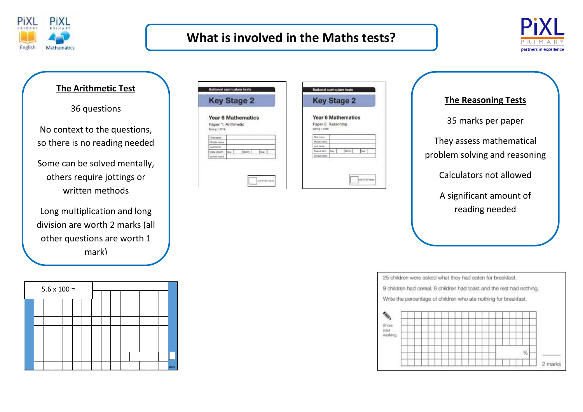

#### **What is involved in the Maths tests?**



#### **The Arithmetic Test**

36 questions

No context to the questions, so there is no reading needed

Some can be solved mentally, others require jottings or written methods

Long multiplication and long division are worth 2 marks (all other questions are worth 1 mark)

|  | $5.6 \times 100 =$ |  |  |  |  |  |        |
|--|--------------------|--|--|--|--|--|--------|
|  |                    |  |  |  |  |  |        |
|  |                    |  |  |  |  |  |        |
|  |                    |  |  |  |  |  |        |
|  |                    |  |  |  |  |  |        |
|  |                    |  |  |  |  |  |        |
|  |                    |  |  |  |  |  |        |
|  |                    |  |  |  |  |  |        |
|  |                    |  |  |  |  |  |        |
|  |                    |  |  |  |  |  | 1 mark |

| Year 6 Mathematics<br>Paper 1: Arithmetic<br>Marght <sub>1</sub><br>1244 |                     | <b>Key Stage 2</b> |  |
|--------------------------------------------------------------------------|---------------------|--------------------|--|
|                                                                          |                     |                    |  |
|                                                                          | Spring 1.2018       |                    |  |
|                                                                          | <b>Giron market</b> |                    |  |
|                                                                          | Middle hams         |                    |  |
|                                                                          | Leatherman          |                    |  |
|                                                                          | Data at parts.      |                    |  |
|                                                                          | <b>SCHOOL RAILS</b> |                    |  |

| Year 6 Mathematics<br>Paper 2: Reasoning<br>Garing 1.2018<br>Find Justice<br><b>Middle Ne</b><br>Last name<br>based law 154<br>Month<br><b>BOYOG KORE</b> | <b>Key Stage 2</b> |  |
|-----------------------------------------------------------------------------------------------------------------------------------------------------------|--------------------|--|
|                                                                                                                                                           |                    |  |
|                                                                                                                                                           |                    |  |
|                                                                                                                                                           |                    |  |
|                                                                                                                                                           |                    |  |
|                                                                                                                                                           |                    |  |
|                                                                                                                                                           |                    |  |

## **The Reasoning Tests** 35 marks per paper They assess mathematical problem solving and reasoning Calculators not allowed A significant amount of reading needed

25 children were asked what they had eaten for breakfast.

9 children had cereal, 8 children had toast and the rest had nothing.

Write the percentage of children who ate nothing for breakfast.